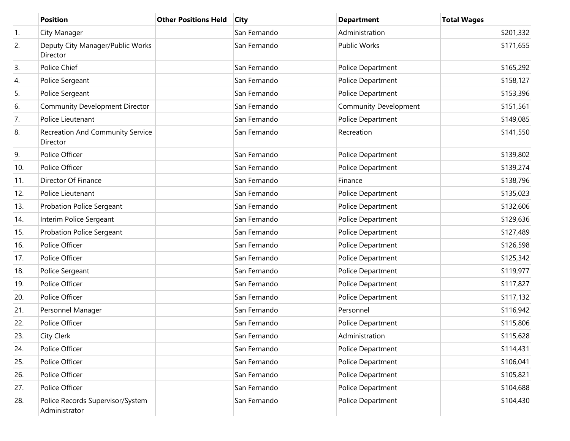|     | <b>Position</b>                                   | <b>Other Positions Held</b> | <b>City</b>  | <b>Department</b>            | <b>Total Wages</b> |
|-----|---------------------------------------------------|-----------------------------|--------------|------------------------------|--------------------|
| 1.  | City Manager                                      |                             | San Fernando | Administration               | \$201,332          |
| 2.  | Deputy City Manager/Public Works<br>Director      |                             | San Fernando | <b>Public Works</b>          | \$171,655          |
| 3.  | Police Chief                                      |                             | San Fernando | Police Department            | \$165,292          |
| 4.  | Police Sergeant                                   |                             | San Fernando | Police Department            | \$158,127          |
| 5.  | Police Sergeant                                   |                             | San Fernando | Police Department            | \$153,396          |
| 6.  | Community Development Director                    |                             | San Fernando | <b>Community Development</b> | \$151,561          |
| 7.  | Police Lieutenant                                 |                             | San Fernando | Police Department            | \$149,085          |
| 8.  | Recreation And Community Service<br>Director      |                             | San Fernando | Recreation                   | \$141,550          |
| 9.  | Police Officer                                    |                             | San Fernando | Police Department            | \$139,802          |
| 10. | Police Officer                                    |                             | San Fernando | Police Department            | \$139,274          |
| 11. | Director Of Finance                               |                             | San Fernando | Finance                      | \$138,796          |
| 12. | Police Lieutenant                                 |                             | San Fernando | Police Department            | \$135,023          |
| 13. | Probation Police Sergeant                         |                             | San Fernando | Police Department            | \$132,606          |
| 14. | Interim Police Sergeant                           |                             | San Fernando | Police Department            | \$129,636          |
| 15. | Probation Police Sergeant                         |                             | San Fernando | Police Department            | \$127,489          |
| 16. | Police Officer                                    |                             | San Fernando | Police Department            | \$126,598          |
| 17. | Police Officer                                    |                             | San Fernando | Police Department            | \$125,342          |
| 18. | Police Sergeant                                   |                             | San Fernando | Police Department            | \$119,977          |
| 19. | Police Officer                                    |                             | San Fernando | Police Department            | \$117,827          |
| 20. | Police Officer                                    |                             | San Fernando | Police Department            | \$117,132          |
| 21. | Personnel Manager                                 |                             | San Fernando | Personnel                    | \$116,942          |
| 22. | Police Officer                                    |                             | San Fernando | Police Department            | \$115,806          |
| 23. | City Clerk                                        |                             | San Fernando | Administration               | \$115,628          |
| 24. | Police Officer                                    |                             | San Fernando | Police Department            | \$114,431          |
| 25. | Police Officer                                    |                             | San Fernando | Police Department            | \$106,041          |
| 26. | Police Officer                                    |                             | San Fernando | Police Department            | \$105,821          |
| 27. | Police Officer                                    |                             | San Fernando | Police Department            | \$104,688          |
| 28. | Police Records Supervisor/System<br>Administrator |                             | San Fernando | Police Department            | \$104,430          |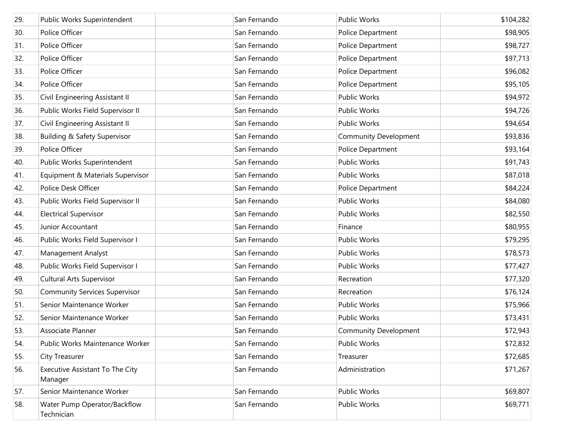| 29. | Public Works Superintendent                | San Fernando | <b>Public Works</b>          | \$104,282 |
|-----|--------------------------------------------|--------------|------------------------------|-----------|
| 30. | Police Officer                             | San Fernando | Police Department            | \$98,905  |
| 31. | Police Officer                             | San Fernando | Police Department            | \$98,727  |
| 32. | Police Officer                             | San Fernando | Police Department            | \$97,713  |
| 33. | Police Officer                             | San Fernando | Police Department            | \$96,082  |
| 34. | Police Officer                             | San Fernando | Police Department            | \$95,105  |
| 35. | Civil Engineering Assistant II             | San Fernando | Public Works                 | \$94,972  |
| 36. | Public Works Field Supervisor II           | San Fernando | Public Works                 | \$94,726  |
| 37. | Civil Engineering Assistant II             | San Fernando | Public Works                 | \$94,654  |
| 38. | Building & Safety Supervisor               | San Fernando | <b>Community Development</b> | \$93,836  |
| 39. | Police Officer                             | San Fernando | Police Department            | \$93,164  |
| 40. | Public Works Superintendent                | San Fernando | Public Works                 | \$91,743  |
| 41. | Equipment & Materials Supervisor           | San Fernando | Public Works                 | \$87,018  |
| 42. | Police Desk Officer                        | San Fernando | Police Department            | \$84,224  |
| 43. | Public Works Field Supervisor II           | San Fernando | <b>Public Works</b>          | \$84,080  |
| 44. | <b>Electrical Supervisor</b>               | San Fernando | Public Works                 | \$82,550  |
| 45. | Junior Accountant                          | San Fernando | Finance                      | \$80,955  |
| 46. | Public Works Field Supervisor I            | San Fernando | Public Works                 | \$79,295  |
| 47. | Management Analyst                         | San Fernando | Public Works                 | \$78,573  |
| 48. | Public Works Field Supervisor I            | San Fernando | Public Works                 | \$77,427  |
| 49. | <b>Cultural Arts Supervisor</b>            | San Fernando | Recreation                   | \$77,320  |
| 50. | <b>Community Services Supervisor</b>       | San Fernando | Recreation                   | \$76,124  |
| 51. | Senior Maintenance Worker                  | San Fernando | Public Works                 | \$75,966  |
| 52. | Senior Maintenance Worker                  | San Fernando | <b>Public Works</b>          | \$73,431  |
| 53. | Associate Planner                          | San Fernando | <b>Community Development</b> | \$72,943  |
| 54. | Public Works Maintenance Worker            | San Fernando | Public Works                 | \$72,832  |
| 55. | City Treasurer                             | San Fernando | Treasurer                    | \$72,685  |
| 56. | Executive Assistant To The City<br>Manager | San Fernando | Administration               | \$71,267  |
| 57. | Senior Maintenance Worker                  | San Fernando | <b>Public Works</b>          | \$69,807  |
| 58. | Water Pump Operator/Backflow<br>Technician | San Fernando | Public Works                 | \$69,771  |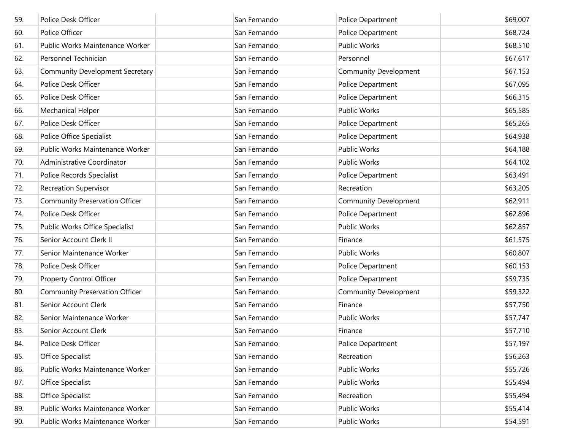| 59. | Police Desk Officer                    | San Fernando | Police Department            | \$69,007 |
|-----|----------------------------------------|--------------|------------------------------|----------|
| 60. | Police Officer                         | San Fernando | Police Department            | \$68,724 |
| 61. | Public Works Maintenance Worker        | San Fernando | Public Works                 | \$68,510 |
| 62. | Personnel Technician                   | San Fernando | Personnel                    | \$67,617 |
| 63. | <b>Community Development Secretary</b> | San Fernando | <b>Community Development</b> | \$67,153 |
| 64. | Police Desk Officer                    | San Fernando | Police Department            | \$67,095 |
| 65. | Police Desk Officer                    | San Fernando | Police Department            | \$66,315 |
| 66. | Mechanical Helper                      | San Fernando | <b>Public Works</b>          | \$65,585 |
| 67. | Police Desk Officer                    | San Fernando | Police Department            | \$65,265 |
| 68. | Police Office Specialist               | San Fernando | Police Department            | \$64,938 |
| 69. | Public Works Maintenance Worker        | San Fernando | <b>Public Works</b>          | \$64,188 |
| 70. | Administrative Coordinator             | San Fernando | <b>Public Works</b>          | \$64,102 |
| 71. | Police Records Specialist              | San Fernando | Police Department            | \$63,491 |
| 72. | Recreation Supervisor                  | San Fernando | Recreation                   | \$63,205 |
| 73. | <b>Community Preservation Officer</b>  | San Fernando | <b>Community Development</b> | \$62,911 |
| 74. | Police Desk Officer                    | San Fernando | Police Department            | \$62,896 |
| 75. | Public Works Office Specialist         | San Fernando | <b>Public Works</b>          | \$62,857 |
| 76. | Senior Account Clerk II                | San Fernando | Finance                      | \$61,575 |
| 77. | Senior Maintenance Worker              | San Fernando | <b>Public Works</b>          | \$60,807 |
| 78. | Police Desk Officer                    | San Fernando | Police Department            | \$60,153 |
| 79. | <b>Property Control Officer</b>        | San Fernando | Police Department            | \$59,735 |
| 80. | <b>Community Preservation Officer</b>  | San Fernando | <b>Community Development</b> | \$59,322 |
| 81. | Senior Account Clerk                   | San Fernando | Finance                      | \$57,750 |
| 82. | Senior Maintenance Worker              | San Fernando | <b>Public Works</b>          | \$57,747 |
| 83. | Senior Account Clerk                   | San Fernando | Finance                      | \$57,710 |
| 84. | Police Desk Officer                    | San Fernando | Police Department            | \$57,197 |
| 85. | Office Specialist                      | San Fernando | Recreation                   | \$56,263 |
| 86. | Public Works Maintenance Worker        | San Fernando | Public Works                 | \$55,726 |
| 87. | Office Specialist                      | San Fernando | Public Works                 | \$55,494 |
| 88. | Office Specialist                      | San Fernando | Recreation                   | \$55,494 |
| 89. | Public Works Maintenance Worker        | San Fernando | Public Works                 | \$55,414 |
| 90. | Public Works Maintenance Worker        | San Fernando | Public Works                 | \$54,591 |